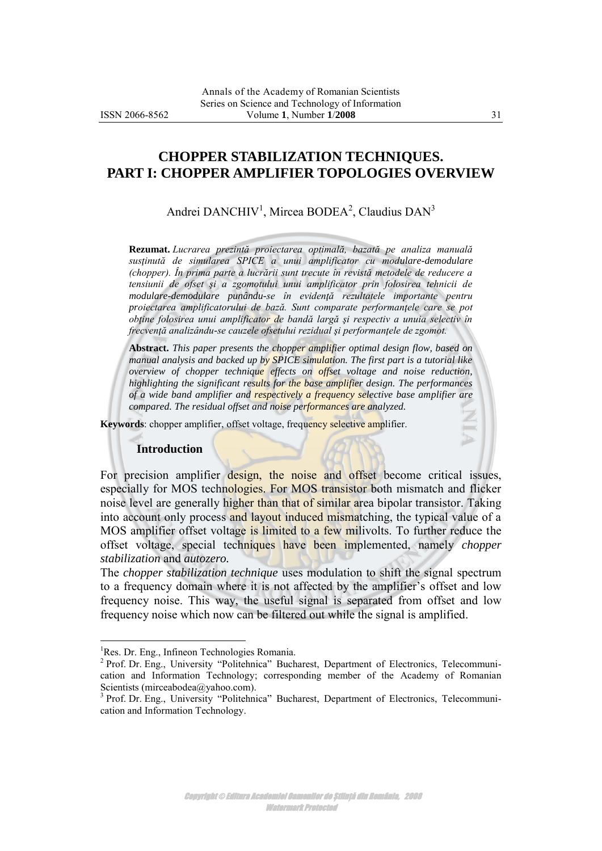# **CHOPPER STABILIZATION TECHNIQUES. PART I: CHOPPER AMPLIFIER TOPOLOGIES OVERVIEW**

Andrei DANCHIV<sup>1</sup>, Mircea BODEA<sup>2</sup>, Claudius DAN<sup>3</sup>

**Rezumat.** *Lucrarea prezintă proiectarea optimală, bazată pe analiza manuală susţinută de simularea SPICE a unui amplificator cu modulare-demodulare (chopper). În prima parte a lucrării sunt trecute în revistă metodele de reducere a tensiunii de ofset şi a zgomotului unui amplificator prin folosirea tehnicii de modulare-demodulare punându-se în evidenţă rezultatele importante pentru proiectarea amplificatorului de bază. Sunt comparate performanţele care se pot obţine folosirea unui amplificator de bandă largă şi respectiv a unuia selectiv în frecvenţă analizându-se cauzele ofsetului rezidual şi performanţele de zgomot.*

**Abstract.** *This paper presents the chopper amplifier optimal design flow, based on manual analysis and backed up by SPICE simulation. The first part is a tutorial like overview of chopper technique effects on offset voltage and noise reduction, highlighting the significant results for the base amplifier design. The performances of a wide band amplifier and respectively a frequency selective base amplifier are compared. The residual offset and noise performances are analyzed.*

**Keywords**: chopper amplifier, offset voltage, frequency selective amplifier.

#### **Introduction**

For precision amplifier design, the noise and offset become critical issues, especially for MOS technologies. For MOS transistor both mismatch and flicker noise level are generally higher than that of similar area bipolar transistor. Taking into account only process and layout induced mismatching, the typical value of a MOS amplifier offset voltage is limited to a few milivolts. To further reduce the offset voltage, special techniques have been implemented, namely *chopper stabilization* and *autozero.*

The *chopper stabilization technique* uses modulation to shift the signal spectrum to a frequency domain where it is not affected by the amplifier's offset and low frequency noise. This way, the useful signal is separated from offset and low frequency noise which now can be filtered out while the signal is amplified.

 $\overline{a}$ 

<sup>&</sup>lt;sup>1</sup>Res. Dr. Eng., Infineon Technologies Romania.

<sup>&</sup>lt;sup>2</sup> Prof. Dr. Eng., University "Politehnica" Bucharest, Department of Electronics, Telecommunication and Information Technology; corresponding member of the Academy of Romanian Scientists (mirceabodea@yahoo.com).

<sup>&</sup>lt;sup>3</sup> Prof. Dr. Eng., University "Politehnica" Bucharest, Department of Electronics, Telecommunication and Information Technology.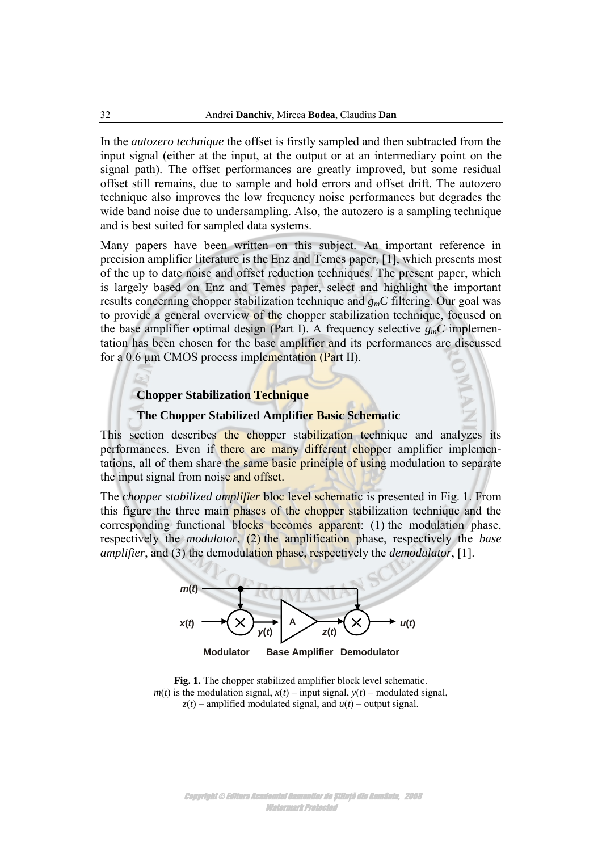In the *autozero technique* the offset is firstly sampled and then subtracted from the input signal (either at the input, at the output or at an intermediary point on the signal path). The offset performances are greatly improved, but some residual offset still remains, due to sample and hold errors and offset drift. The autozero technique also improves the low frequency noise performances but degrades the wide band noise due to undersampling. Also, the autozero is a sampling technique and is best suited for sampled data systems.

Many papers have been written on this subject. An important reference in precision amplifier literature is the Enz and Temes paper, [\[1\]](#page-11-0), which presents most of the up to date noise and offset reduction techniques. The present paper, which is largely based on Enz and Temes paper, select and highlight the important results concerning chopper stabilization technique and *gmC* filtering. Our goal was to provide a general overview of the chopper stabilization technique, focused on the base amplifier optimal design (Part I). A frequency selective  $g<sub>m</sub>C$  implementation has been chosen for the base amplifier and its performances are discussed for a  $0.6 \mu m$  CMOS process implementation (Part II).

# **Chopper Stabilization Technique**

# **The Chopper Stabilized Amplifier Basic Schematic**

This section describes the chopper stabilization technique and analyzes its performances. Even if there are many different chopper amplifier implementations, all of them share the same basic principle of using modulation to separate the input signal from noise and offset.

The *chopper stabilized amplifier* bloc level schematic is presented in [Fig.](#page-1-0) 1. From this figure the three main phases of the chopper stabilization technique and the corresponding functional blocks becomes apparent: (1) the modulation phase, respectively the *modulator*, (2) the amplification phase, respectively the *base amplifier*, and (3) the demodulation phase, respectively the *demodulator*, [\[1\].](#page-11-1)



<span id="page-1-0"></span>

Copyright © Editura Academiei Oamenilor de Știință din România, 2008 Watermark Protected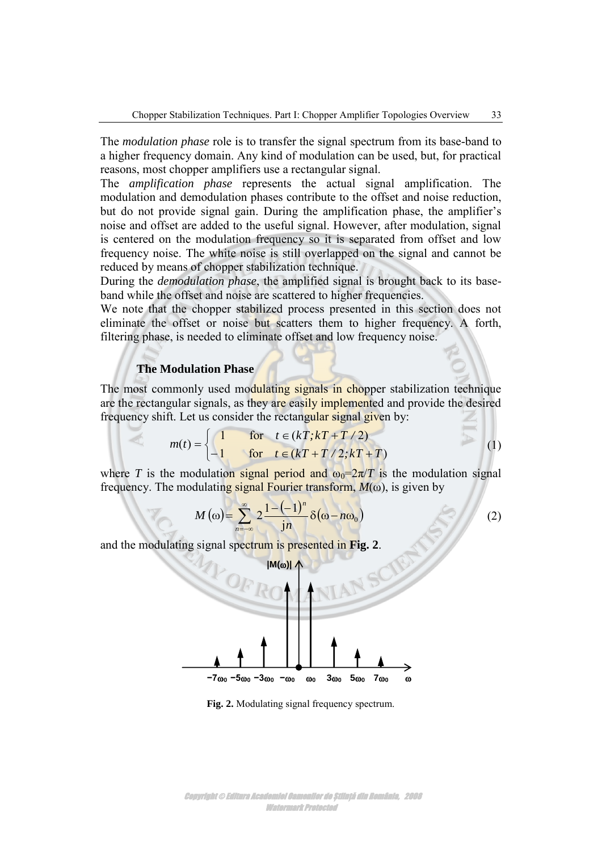The *modulation phase* role is to transfer the signal spectrum from its base-band to a higher frequency domain. Any kind of modulation can be used, but, for practical reasons, most chopper amplifiers use a rectangular signal.

The *amplification phase* represents the actual signal amplification. The modulation and demodulation phases contribute to the offset and noise reduction, but do not provide signal gain. During the amplification phase, the amplifier's noise and offset are added to the useful signal. However, after modulation, signal is centered on the modulation frequency so it is separated from offset and low frequency noise. The white noise is still overlapped on the signal and cannot be reduced by means of chopper stabilization technique.

During the *demodulation phase*, the amplified signal is brought back to its baseband while the offset and noise are scattered to higher frequencies.

We note that the chopper stabilized process presented in this section does not eliminate the offset or noise but scatters them to higher frequency. A forth, filtering phase, is needed to eliminate offset and low frequency noise.

### **The Modulation Phase**

The most commonly used modulating signals in chopper stabilization technique are the rectangular signals, as they are easily implemented and provide the desired

frequency shift. Let us consider the rectangular signal given by:  
\n
$$
m(t) = \begin{cases} 1 & \text{for } t \in (kT, kT + T/2) \\ -1 & \text{for } t \in (kT + T/2, kT + T) \end{cases}
$$
\n(1)

where *T* is the modulation signal period and  $\omega_0 = 2\pi/T$  is the modulation signal

frequency. The modulating signal Fourier transform, 
$$
M(\omega)
$$
, is given by  
\n
$$
M(\omega) = \sum_{n=-\infty}^{\infty} 2 \frac{1 - (-1)^n}{j n} \delta(\omega - n\omega_0)
$$
\n(2)

and the modulating signal spectrum is presented in **[Fig. 2](#page-2-0)**.

<span id="page-2-2"></span><span id="page-2-1"></span>

<span id="page-2-0"></span>**Fig. 2.** Modulating signal frequency spectrum.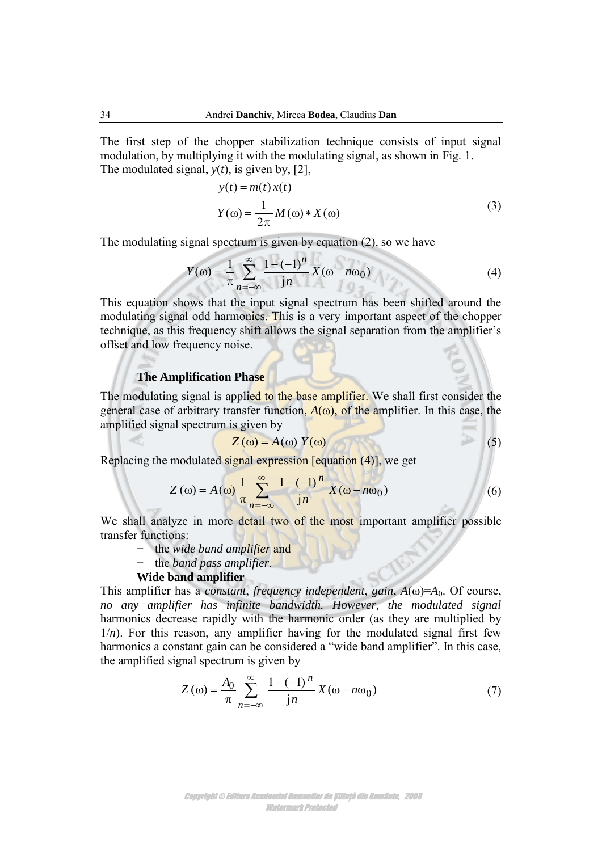The first step of the chopper stabilization technique consists of input signal modulation, by multiplying it with the modulating signal, as shown in [Fig. 1.](#page-1-0) The modulated signal, *y*(*t*), is given by, [\[2\],](#page-11-2)

<span id="page-3-0"></span>
$$
y(t) = m(t) x(t)
$$
  
\n
$$
Y(\omega) = \frac{1}{2\pi} M(\omega) * X(\omega)
$$
\n(3)

The modulating signal spectrum is given by equation [\(2\),](#page-2-1) so we have

$$
Y(\omega) = \frac{1}{\pi} \sum_{n=-\infty}^{\infty} \frac{1 - (-1)^n}{j n} X(\omega - n\omega_0)
$$
(4)

This equation shows that the input signal spectrum has been shifted around the modulating signal odd harmonics. This is a very important aspect of the chopper technique, as this frequency shift allows the signal separation from the amplifier's offset and low frequency noise.

### **The Amplification Phase**

The modulating signal is applied to the base amplifier. We shall first consider the general case of arbitrary transfer function,  $A(\omega)$ , of the amplifier. In this case, the amplified signal spectrum is given by

$$
Z(\omega) = A(\omega) Y(\omega) \tag{5}
$$

Replacing the modulated signal expression [equation [\(4\)\]](#page-3-0), we get

$$
Z(\omega) = A(\omega) \frac{1}{\pi} \sum_{n=-\infty}^{\infty} \frac{1 - (-1)^n}{jn} X(\omega - n\omega_0)
$$
 (6)

We shall analyze in more detail two of the most important amplifier possible transfer functions:

- − the *wide band amplifier* and
- − the *band pass amplifier*.

### **Wide band amplifier**

This amplifier has a *constant*, *frequency independent*, *gain*,  $A(\omega) = A_0$ . Of course, *no any amplifier has infinite bandwidth. However, the modulated signal* harmonics decrease rapidly with the harmonic order (as they are multiplied by  $1/n$ ). For this reason, any amplifier having for the modulated signal first few harmonics a constant gain can be considered a "wide band amplifier". In this case, the amplified signal spectrum is given by

<span id="page-3-1"></span>
$$
Z(\omega) = \frac{A_0}{\pi} \sum_{n=-\infty}^{\infty} \frac{1 - (-1)^n}{jn} X(\omega - n\omega_0)
$$
 (7)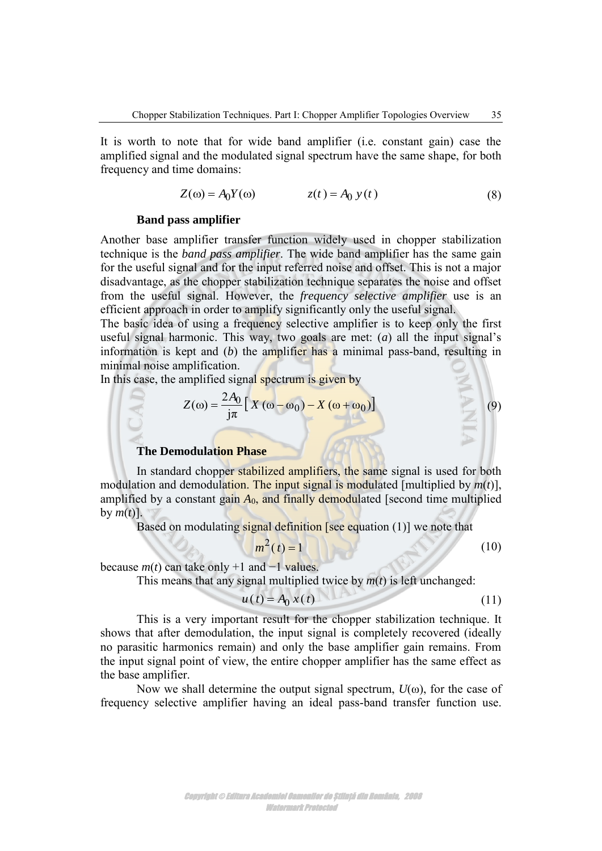It is worth to note that for wide band amplifier (i.e. constant gain) case the amplified signal and the modulated signal spectrum have the same shape, for both frequency and time domains:

$$
Z(\omega) = A_0 Y(\omega) \qquad \qquad z(t) = A_0 y(t) \tag{8}
$$

#### **Band pass amplifier**

Another base amplifier transfer function widely used in chopper stabilization technique is the *band pass amplifier*. The wide band amplifier has the same gain for the useful signal and for the input referred noise and offset. This is not a major disadvantage, as the chopper stabilization technique separates the noise and offset from the useful signal. However, the *frequency selective amplifier* use is an efficient approach in order to amplify significantly only the useful signal.

The basic idea of using a frequency selective amplifier is to keep only the first useful signal harmonic. This way, two goals are met: (*a*) all the input signal's information is kept and (*b*) the amplifier has a minimal pass-band, resulting in minimal noise amplification.

In this case, the amplified signal spectrum is given by

$$
Z(\omega) = \frac{2A_0}{j\pi} \left[ X(\omega - \omega_0) - X(\omega + \omega_0) \right]
$$

**The Demodulation Phase** 

In standard chopper stabilized amplifiers, the same signal is used for both modulation and demodulation. The input signal is modulated [multiplied by *m*(*t*)], amplified by a constant gain  $A_0$ , and finally demodulated [second time multiplied by  $m(t)$ ].

Based on modulating signal definition [see equation [\(1\)\]](#page-2-2) we note that

$$
m^2(t) = 1 \tag{10}
$$

<span id="page-4-0"></span>(9)

because  $m(t)$  can take only +1 and  $-1$  values.

This means that any signal multiplied twice by  $m(t)$  is left unchanged:

$$
u(t) = A_0 x(t) \tag{11}
$$

This is a very important result for the chopper stabilization technique. It shows that after demodulation, the input signal is completely recovered (ideally no parasitic harmonics remain) and only the base amplifier gain remains. From the input signal point of view, the entire chopper amplifier has the same effect as the base amplifier.

Now we shall determine the output signal spectrum,  $U(\omega)$ , for the case of frequency selective amplifier having an ideal pass-band transfer function use.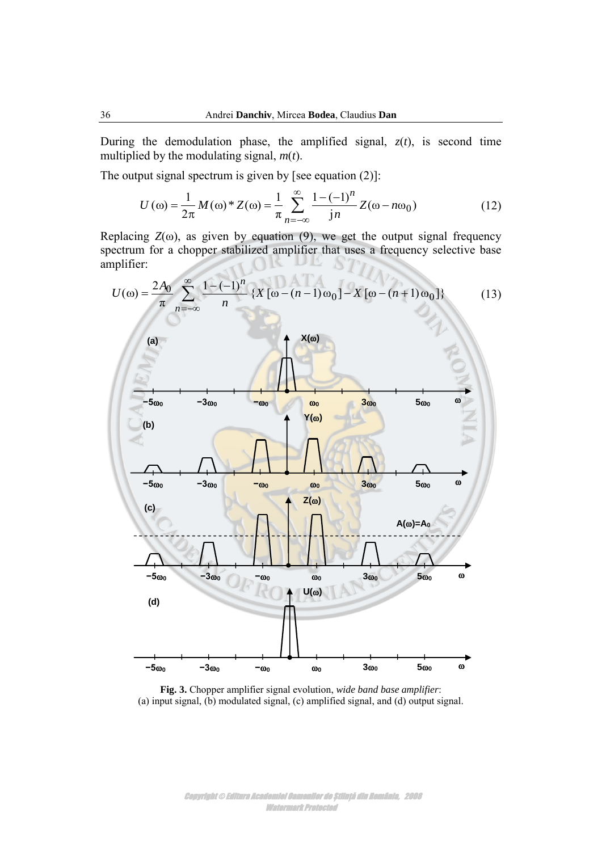During the demodulation phase, the amplified signal,  $z(t)$ , is second time multiplied by the modulating signal, *m*(*t*).

The output signal spectrum is given by [see equation  $(2)$ ]:

<span id="page-5-1"></span>
$$
U(\omega) = \frac{1}{2\pi} M(\omega)^* Z(\omega) = \frac{1}{\pi} \sum_{n=-\infty}^{\infty} \frac{1 - (-1)^n}{jn} Z(\omega - n\omega_0)
$$
 (12)

Replacing  $Z(\omega)$ , as given by equation [\(9\),](#page-4-0) we get the output signal frequency spectrum for a chopper stabilized amplifier that uses a frequency selective base amplifier:



<span id="page-5-0"></span>**Fig. 3.** Chopper amplifier signal evolution, *wide band base amplifier*: (a) input signal, (b) modulated signal, (c) amplified signal, and (d) output signal.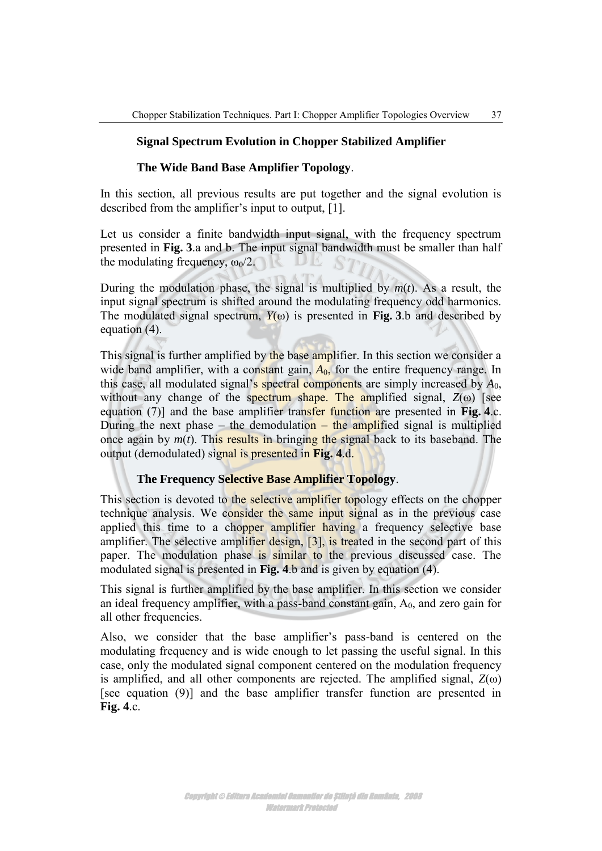# **Signal Spectrum Evolution in Chopper Stabilized Amplifier**

### **The Wide Band Base Amplifier Topology**.

In this section, all previous results are put together and the signal evolution is described from the amplifier's input to output, [\[1\].](#page-11-1)

Let us consider a finite bandwidth input signal, with the frequency spectrum presented in **[Fig. 3](#page-5-0)**.a and b. The input signal bandwidth must be smaller than half the modulating frequency,  $\omega_0/2$ .

During the modulation phase, the signal is multiplied by  $m(t)$ . As a result, the input signal spectrum is shifted around the modulating frequency odd harmonics. The modulated signal spectrum,  $Y(\omega)$  is presented in **[Fig. 3](#page-5-0)**.b and described by equation [\(4\).](#page-3-0)

This signal is further amplified by the base amplifier. In this section we consider a wide band amplifier, with a constant gain,  $A_0$ , for the entire frequency range. In this case, all modulated signal's spectral components are simply increased by  $A_0$ , without any change of the spectrum shape. The amplified signal,  $Z(\omega)$  [see equation [\(7\)\]](#page-3-1) and the base amplifier transfer function are presented in **[Fig. 4](#page-7-0)**.c. During the next phase – the demodulation – the amplified signal is multiplied once again by  $m(t)$ . This results in bringing the signal back to its baseband. The output (demodulated) signal is presented in **[Fig. 4](#page-7-0)**.d.

### **The Frequency Selective Base Amplifier Topology**.

This section is devoted to the selective amplifier topology effects on the chopper technique analysis. We consider the same input signal as in the previous case applied this time to a chopper amplifier having a frequency selective base amplifier. The selective amplifier design, [\[3\]](#page-11-3), is treated in the second part of this paper. The modulation phase is similar to the previous discussed case. The modulated signal is presented in **[Fig. 4](#page-7-0)**.b and is given by equation [\(4\).](#page-3-0)

This signal is further amplified by the base amplifier. In this section we consider an ideal frequency amplifier, with a pass-band constant gain,  $A_0$ , and zero gain for all other frequencies.

Also, we consider that the base amplifier's pass-band is centered on the modulating frequency and is wide enough to let passing the useful signal. In this case, only the modulated signal component centered on the modulation frequency is amplified, and all other components are rejected. The amplified signal, *Z*(ω) [see equation [\(9\)\]](#page-4-0) and the base amplifier transfer function are presented in **[Fig. 4](#page-7-0)**.c.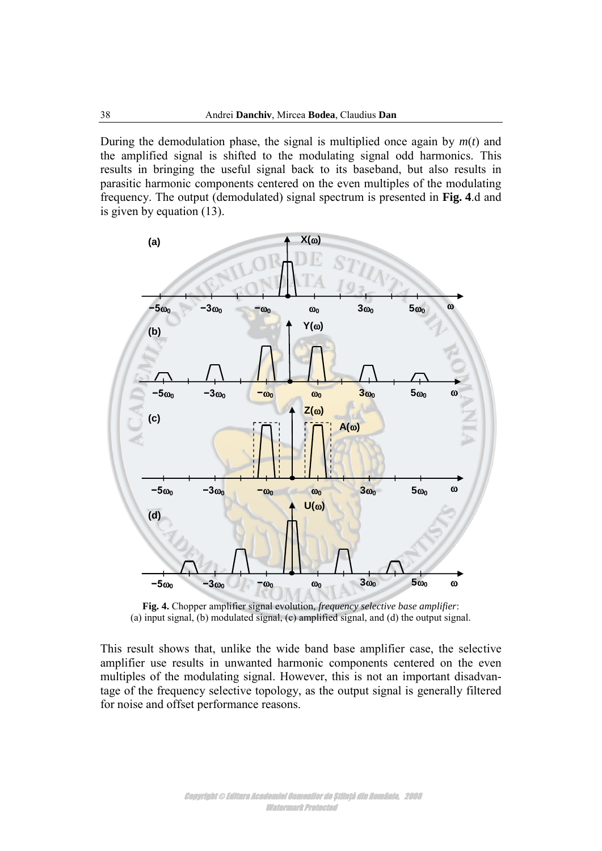During the demodulation phase, the signal is multiplied once again by  $m(t)$  and the amplified signal is shifted to the modulating signal odd harmonics. This results in bringing the useful signal back to its baseband, but also results in parasitic harmonic components centered on the even multiples of the modulating frequency. The output (demodulated) signal spectrum is presented in **[Fig. 4](#page-7-0)**.d and is given by equation [\(13\).](#page-5-1)

![](_page_7_Figure_2.jpeg)

<span id="page-7-0"></span>**Fig. 4.** Chopper amplifier signal evolution, *frequency selective base amplifier*: (a) input signal, (b) modulated signal, (c) amplified signal, and (d) the output signal.

This result shows that, unlike the wide band base amplifier case, the selective amplifier use results in unwanted harmonic components centered on the even multiples of the modulating signal. However, this is not an important disadvantage of the frequency selective topology, as the output signal is generally filtered for noise and offset performance reasons.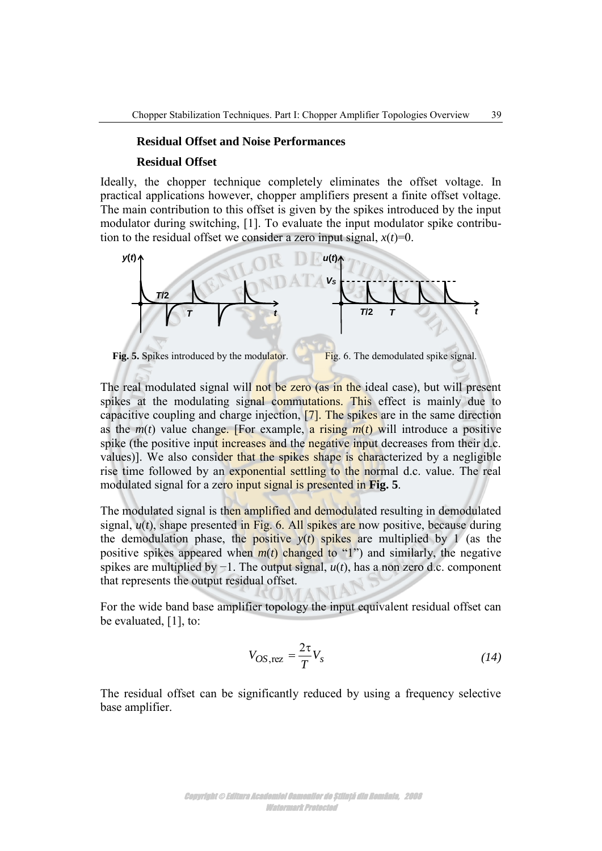### **Residual Offset and Noise Performances**

#### **Residual Offset**

Ideally, the chopper technique completely eliminates the offset voltage. In practical applications however, chopper amplifiers present a finite offset voltage. The main contribution to this offset is given by the spikes introduced by the input modulator during switching, [\[1\].](#page-11-1) To evaluate the input modulator spike contribution to the residual offset we consider a zero input signal,  $x(t)=0$ .

![](_page_8_Figure_4.jpeg)

<span id="page-8-1"></span><span id="page-8-0"></span>The real modulated signal will not be zero (as in the ideal case), but will present spikes at the modulating signal commutations. This effect is mainly due to capacitive coupling and charge injection, [\[7\].](#page-11-4) The spikes are in the same direction as the  $m(t)$  value change. [For example, a rising  $m(t)$  will introduce a positive spike (the positive input increases and the negative input decreases from their d.c. values)]. We also consider that the spikes shape is characterized by a negligible rise time followed by an exponential settling to the normal d.c. value. The real modulated signal for a zero input signal is presented in **[Fig. 5](#page-8-0)**.

The modulated signal is then amplified and demodulated resulting in demodulated signal,  $u(t)$ , shape presented in [Fig.](#page-8-1) 6. All spikes are now positive, because during the demodulation phase, the positive  $y(t)$  spikes are multiplied by 1 (as the positive spikes appeared when  $m(t)$  changed to "1") and similarly, the negative spikes are multiplied by −1. The output signal, *u*(*t*), has a non zero d.c. component that represents the output residual offset.

For the wide band base amplifier topology the input equivalent residual offset can be evaluated, [\[1\],](#page-11-1) to:

$$
V_{OS, \text{rez}} = \frac{2\tau}{T} V_s \tag{14}
$$

The residual offset can be significantly reduced by using a frequency selective base amplifier.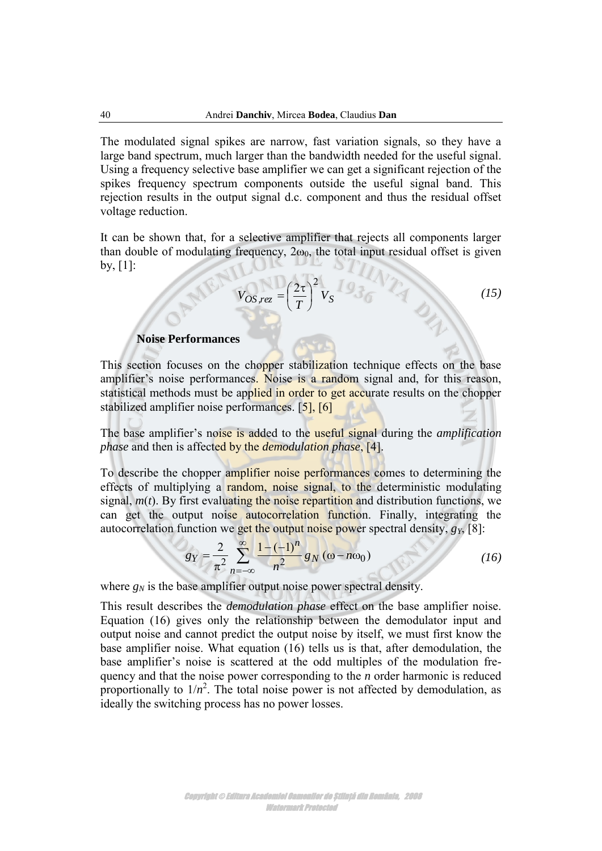The modulated signal spikes are narrow, fast variation signals, so they have a large band spectrum, much larger than the bandwidth needed for the useful signal. Using a frequency selective base amplifier we can get a significant rejection of the spikes frequency spectrum components outside the useful signal band. This rejection results in the output signal d.c. component and thus the residual offset voltage reduction.

It can be shown that, for a selective amplifier that rejects all components larger than double of modulating frequency,  $2\omega_0$ , the total input residual offset is given by,  $[1]$ :

$$
V_{OS, rez} = \left(\frac{2\tau}{T}\right)^2 V_S
$$
 (15)

#### **Noise Performances**

This section focuses on the chopper stabilization technique effects on the base amplifier's noise performances. Noise is a random signal and, for this reason, statistical methods must be applied in order to get accurate results on the chopper stabilized amplifier noise performances. [\[5\],](#page-11-5) [\[6\]](#page-11-6)

The base amplifier's noise is added to the useful signal during the *amplification phase* and then is affected by the *demodulation phase*, [\[4\].](#page-11-7)

To describe the chopper amplifier noise performances comes to determining the effects of multiplying a random, noise signal, to the deterministic modulating signal, *m*(*t*). By first evaluating the noise repartition and distribution functions, we can get the output noise autocorrelation function. Finally, integrating the autocorrelation function we get the output noise power spectral density,  $g_Y$ , [\[8\]:](#page-11-8)

<span id="page-9-0"></span>
$$
g_Y = \frac{2}{\pi^2} \sum_{n=-\infty}^{\infty} \frac{1 - (-1)^n}{n^2} g_N(\omega - n\omega_0)
$$
 (16)

where  $g_N$  is the base amplifier output noise power spectral density.

This result describes the *demodulation phase* effect on the base amplifier noise. Equation [\(16\)](#page-9-0) gives only the relationship between the demodulator input and output noise and cannot predict the output noise by itself, we must first know the base amplifier noise. What equation [\(16\)](#page-9-0) tells us is that, after demodulation, the base amplifier's noise is scattered at the odd multiples of the modulation frequency and that the noise power corresponding to the *n* order harmonic is reduced proportionally to  $1/n^2$ . The total noise power is not affected by demodulation, as ideally the switching process has no power losses.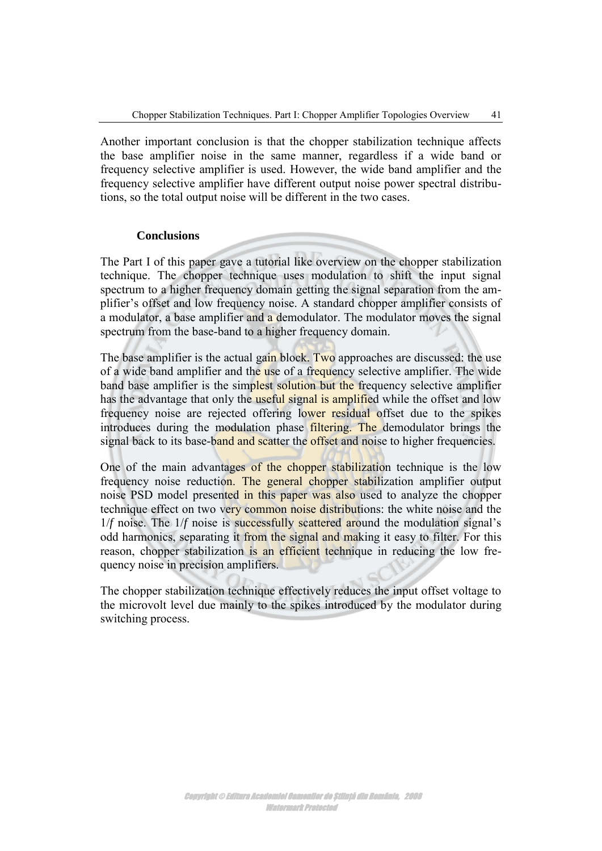Another important conclusion is that the chopper stabilization technique affects the base amplifier noise in the same manner, regardless if a wide band or frequency selective amplifier is used. However, the wide band amplifier and the frequency selective amplifier have different output noise power spectral distributions, so the total output noise will be different in the two cases.

### **Conclusions**

The Part I of this paper gave a tutorial like overview on the chopper stabilization technique. The chopper technique uses modulation to shift the input signal spectrum to a higher frequency domain getting the signal separation from the amplifier's offset and low frequency noise. A standard chopper amplifier consists of a modulator, a base amplifier and a demodulator. The modulator moves the signal spectrum from the base-band to a higher frequency domain.

The base amplifier is the actual gain block. Two approaches are discussed: the use of a wide band amplifier and the use of a frequency selective amplifier. The wide band base amplifier is the simplest solution but the frequency selective amplifier has the advantage that only the useful signal is amplified while the offset and low frequency noise are rejected offering lower residual offset due to the spikes introduces during the modulation phase filtering. The demodulator brings the signal back to its base-band and scatter the offset and noise to higher frequencies.

One of the main advantages of the chopper stabilization technique is the low frequency noise reduction. The general chopper stabilization amplifier output noise PSD model presented in this paper was also used to analyze the chopper technique effect on two very common noise distributions: the white noise and the 1/*f* noise. The 1/*f* noise is successfully scattered around the modulation signal's odd harmonics, separating it from the signal and making it easy to filter. For this reason, chopper stabilization is an efficient technique in reducing the low frequency noise in precision amplifiers.

The chopper stabilization technique effectively reduces the input offset voltage to the microvolt level due mainly to the spikes introduced by the modulator during switching process.